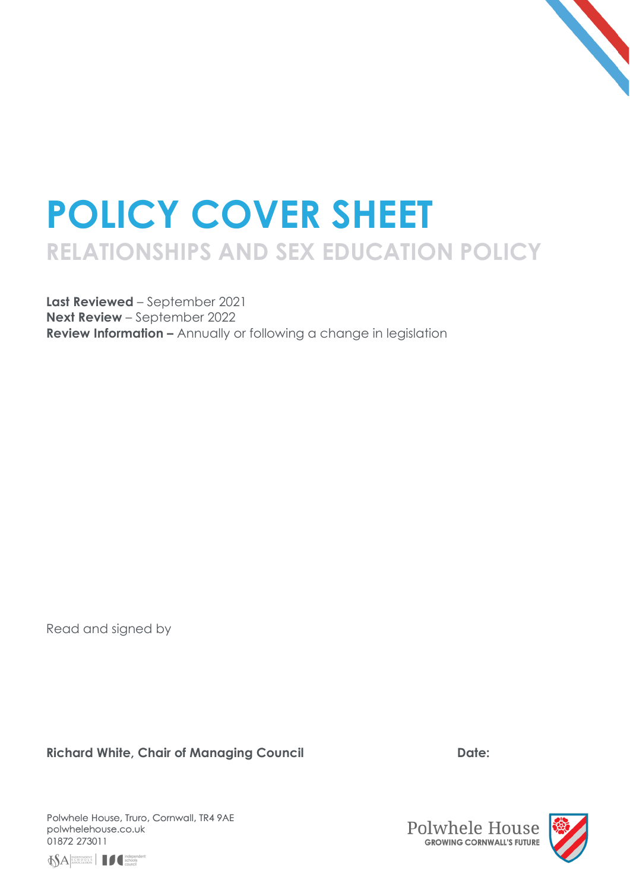## **POLICY COVER SHEET RELATIONSHIPS AND SEX EDUCATION POLICY**

**Last Reviewed** – September 2021 **Next Review** – September 2022 **Review Information –** Annually or following a change in legislation

Read and signed by

**Richard White, Chair of Managing Council Date:**

Polwhele House, Truro, Cornwall, TR4 9AE polwhelehouse.co.uk 01872 273011





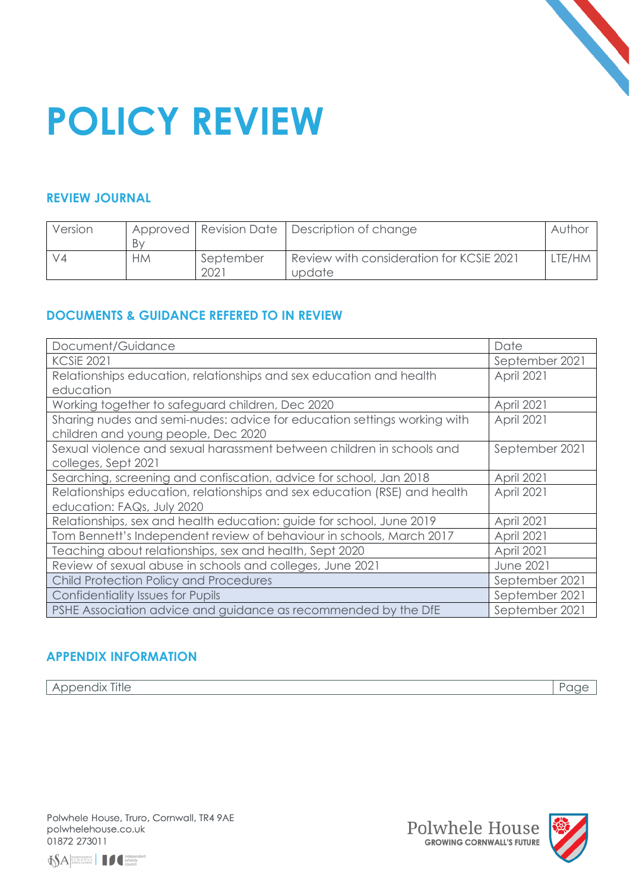# 

# **POLICY REVIEW**

#### **REVIEW JOURNAL**

| Version |           |                               | Approved   Revision Date   Description of change   | Author |
|---------|-----------|-------------------------------|----------------------------------------------------|--------|
|         | Bv        |                               |                                                    |        |
| $\vee$  | <b>HM</b> | September<br>202 <sub>1</sub> | Review with consideration for KCSiE 2021<br>update | LTE/HM |

#### **DOCUMENTS & GUIDANCE REFERED TO IN REVIEW**

| Document/Guidance                                                         | Date              |
|---------------------------------------------------------------------------|-------------------|
| <b>KCSiE 2021</b>                                                         | September 2021    |
| Relationships education, relationships and sex education and health       | April 2021        |
| education                                                                 |                   |
| Working together to safeguard children, Dec 2020                          | April 2021        |
| Sharing nudes and semi-nudes: advice for education settings working with  | April 2021        |
| children and young people, Dec 2020                                       |                   |
| Sexual violence and sexual harassment between children in schools and     | September 2021    |
| colleges, Sept 2021                                                       |                   |
| Searching, screening and confiscation, advice for school, Jan 2018        | April 2021        |
| Relationships education, relationships and sex education (RSE) and health | April 2021        |
| education: FAQs, July 2020                                                |                   |
| Relationships, sex and health education: guide for school, June 2019      | <b>April 2021</b> |
| Tom Bennett's Independent review of behaviour in schools, March 2017      | April 2021        |
| Teaching about relationships, sex and health, Sept 2020                   | April 2021        |
| Review of sexual abuse in schools and colleges, June 2021                 | <b>June 2021</b>  |
| Child Protection Policy and Procedures                                    | September 2021    |
| Confidentiality Issues for Pupils                                         | September 2021    |
| PSHE Association advice and guidance as recommended by the DfE            | September 2021    |

#### **APPENDIX INFORMATION**

Appendix Title Page





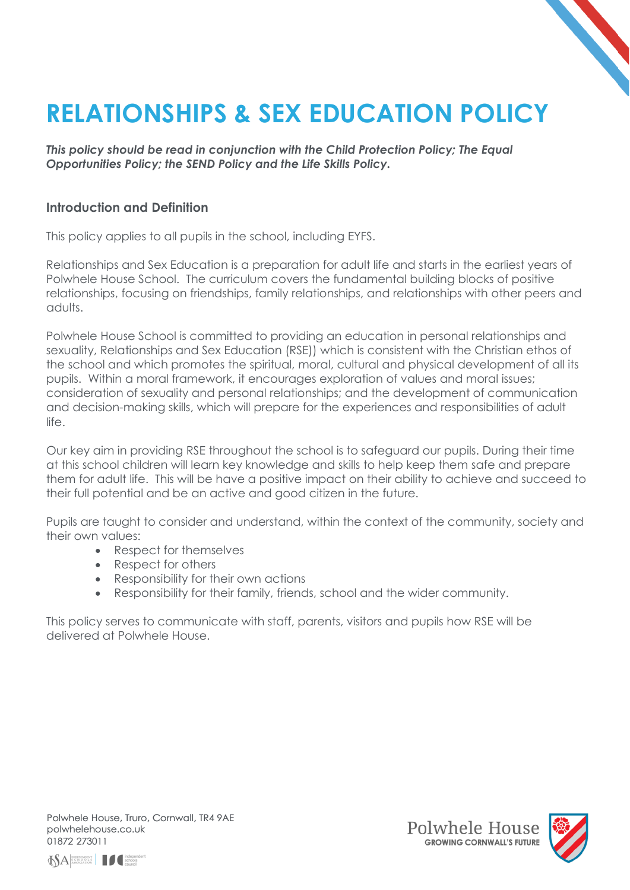### **RELATIONSHIPS & SEX EDUCATION POLICY**

*This policy should be read in conjunction with the Child Protection Policy; The Equal Opportunities Policy; the SEND Policy and the Life Skills Policy.*

#### **Introduction and Definition**

This policy applies to all pupils in the school, including EYFS.

Relationships and Sex Education is a preparation for adult life and starts in the earliest years of Polwhele House School. The curriculum covers the fundamental building blocks of positive relationships, focusing on friendships, family relationships, and relationships with other peers and adults.

Polwhele House School is committed to providing an education in personal relationships and sexuality, Relationships and Sex Education (RSE)) which is consistent with the Christian ethos of the school and which promotes the spiritual, moral, cultural and physical development of all its pupils. Within a moral framework, it encourages exploration of values and moral issues; consideration of sexuality and personal relationships; and the development of communication and decision-making skills, which will prepare for the experiences and responsibilities of adult life.

Our key aim in providing RSE throughout the school is to safeguard our pupils. During their time at this school children will learn key knowledge and skills to help keep them safe and prepare them for adult life. This will be have a positive impact on their ability to achieve and succeed to their full potential and be an active and good citizen in the future.

Pupils are taught to consider and understand, within the context of the community, society and their own values:

- Respect for themselves
- Respect for others
- Responsibility for their own actions
- Responsibility for their family, friends, school and the wider community.

This policy serves to communicate with staff, parents, visitors and pupils how RSE will be delivered at Polwhele House.

Polwhele House, Truro, Cornwall, TR4 9AE polwhelehouse.co.uk 01872 273011



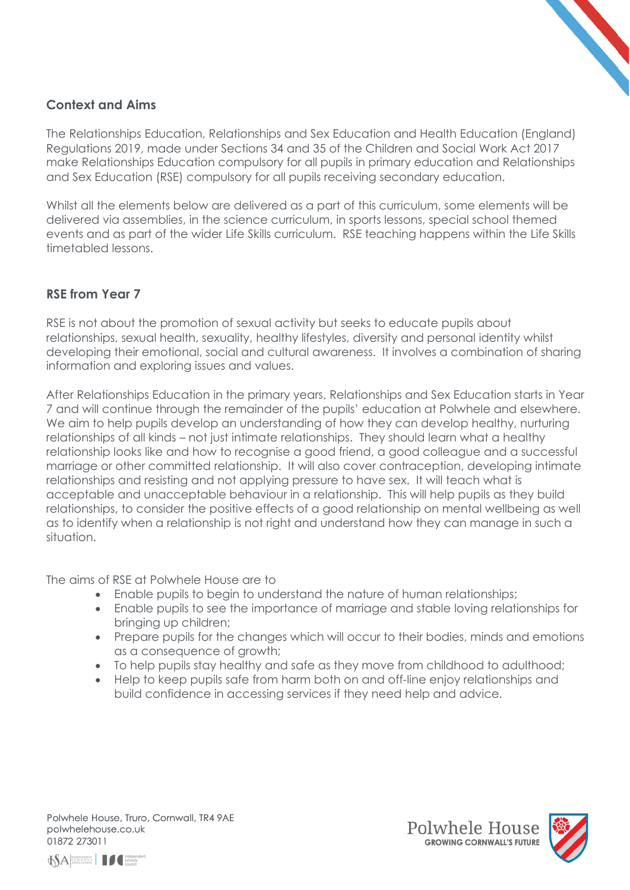

#### **Context and Aims**

The Relationships Education, Relationships and Sex Education and Health Education (England) Regulations 2019, made under Sections 34 and 35 of the Children and Social Work Act 2017 make Relationships Education compulsory for all pupils in primary education and Relationships and Sex Education (RSE) compulsory for all pupils receiving secondary education.

Whilst all the elements below are delivered as a part of this curriculum, some elements will be delivered via assemblies, in the science curriculum, in sports lessons, special school themed events and as part of the wider Life Skills curriculum. RSE teaching happens within the Life Skills timetabled lessons.

#### **RSE from Year 7**

RSE is not about the promotion of sexual activity but seeks to educate pupils about relationships, sexual health, sexuality, healthy lifestyles, diversity and personal identity whilst developing their emotional, social and cultural awareness. It involves a combination of sharing information and exploring issues and values.

After Relationships Education in the primary years, Relationships and Sex Education starts in Year 7 and will continue through the remainder of the pupils' education at Polwhele and elsewhere. We aim to help pupils develop an understanding of how they can develop healthy, nurturing relationships of all kinds – not just intimate relationships. They should learn what a healthy relationship looks like and how to recognise a good friend, a good colleague and a successful marriage or other committed relationship. It will also cover contraception, developing intimate relationships and resisting and not applying pressure to have sex. It will teach what is acceptable and unacceptable behaviour in a relationship. This will help pupils as they build relationships, to consider the positive effects of a good relationship on mental wellbeing as well as to identify when a relationship is not right and understand how they can manage in such a situation.

The aims of RSE at Polwhele House are to

- Enable pupils to begin to understand the nature of human relationships;
- Enable pupils to see the importance of marriage and stable loving relationships for bringing up children;
- Prepare pupils for the changes which will occur to their bodies, minds and emotions as a consequence of growth;
- To help pupils stay healthy and safe as they move from childhood to adulthood;
- Help to keep pupils safe from harm both on and off-line enjoy relationships and build confidence in accessing services if they need help and advice.

Polwhele House, Truro, Cornwall, TR4 9AE polwhelehouse.co.uk 01872 273011

**ISA** SCHOOLS CHOOLS SCHOOLS



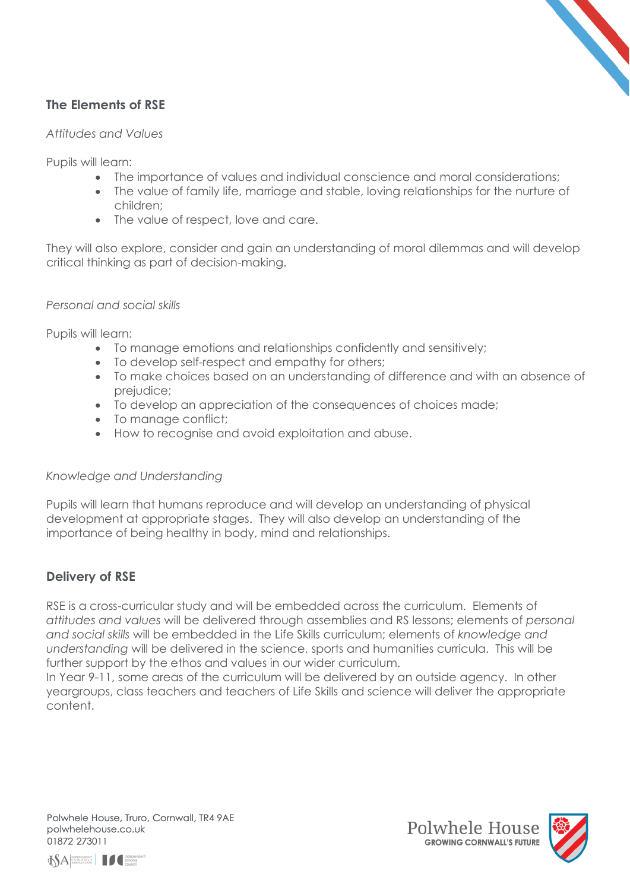#### **The Elements of RSE**

#### *Attitudes and Values*

Pupils will learn:

- The importance of values and individual conscience and moral considerations;
- The value of family life, marriage and stable, loving relationships for the nurture of children;
- The value of respect, love and care.

They will also explore, consider and gain an understanding of moral dilemmas and will develop critical thinking as part of decision-making.

#### *Personal and social skills*

Pupils will learn:

- To manage emotions and relationships confidently and sensitively;
- To develop self-respect and empathy for others;
- To make choices based on an understanding of difference and with an absence of prejudice;
- To develop an appreciation of the consequences of choices made;
- To manage conflict;
- How to recognise and avoid exploitation and abuse.

#### *Knowledge and Understanding*

Pupils will learn that humans reproduce and will develop an understanding of physical development at appropriate stages. They will also develop an understanding of the importance of being healthy in body, mind and relationships.

#### **Delivery of RSE**

RSE is a cross-curricular study and will be embedded across the curriculum. Elements of *attitudes and values* will be delivered through assemblies and RS lessons; elements of *personal and social skills* will be embedded in the Life Skills curriculum; elements of *knowledge and understanding* will be delivered in the science, sports and humanities curricula. This will be further support by the ethos and values in our wider curriculum.

In Year 9-11, some areas of the curriculum will be delivered by an outside agency. In other yeargroups, class teachers and teachers of Life Skills and science will deliver the appropriate content.





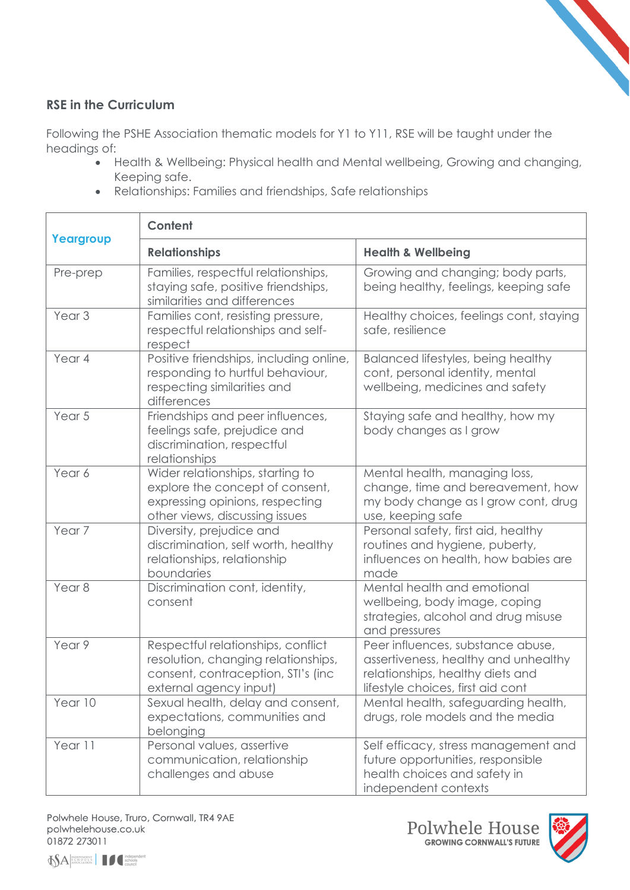

#### **RSE in the Curriculum**

Following the PSHE Association thematic models for Y1 to Y11, RSE will be taught under the headings of:

- Health & Wellbeing: Physical health and Mental wellbeing, Growing and changing, Keeping safe.
- Relationships: Families and friendships, Safe relationships

|                   | Content                                                                                                                                    |                                                                                                                                                    |  |  |
|-------------------|--------------------------------------------------------------------------------------------------------------------------------------------|----------------------------------------------------------------------------------------------------------------------------------------------------|--|--|
| Yeargroup         | <b>Relationships</b>                                                                                                                       | <b>Health &amp; Wellbeing</b>                                                                                                                      |  |  |
| Pre-prep          | Families, respectful relationships,<br>staying safe, positive friendships,<br>similarities and differences                                 | Growing and changing; body parts,<br>being healthy, feelings, keeping safe                                                                         |  |  |
| Year <sub>3</sub> | Families cont, resisting pressure,<br>respectful relationships and self-<br>respect                                                        | Healthy choices, feelings cont, staying<br>safe, resilience                                                                                        |  |  |
| Year 4            | Positive friendships, including online,<br>responding to hurtful behaviour,<br>respecting similarities and<br>differences                  | Balanced lifestyles, being healthy<br>cont, personal identity, mental<br>wellbeing, medicines and safety                                           |  |  |
| Year 5            | Friendships and peer influences,<br>feelings safe, prejudice and<br>discrimination, respectful<br>relationships                            | Staying safe and healthy, how my<br>body changes as I grow                                                                                         |  |  |
| Year 6            | Wider relationships, starting to<br>explore the concept of consent,<br>expressing opinions, respecting<br>other views, discussing issues   | Mental health, managing loss,<br>change, time and bereavement, how<br>my body change as I grow cont, drug<br>use, keeping safe                     |  |  |
| Year 7            | Diversity, prejudice and<br>discrimination, self worth, healthy<br>relationships, relationship<br>boundaries                               | Personal safety, first aid, healthy<br>routines and hygiene, puberty,<br>influences on health, how babies are<br>made                              |  |  |
| Year 8            | Discrimination cont, identity,<br>consent                                                                                                  | Mental health and emotional<br>wellbeing, body image, coping<br>strategies, alcohol and drug misuse<br>and pressures                               |  |  |
| Year 9            | Respectful relationships, conflict<br>resolution, changing relationships,<br>consent, contraception, STI's (inc.<br>external agency input) | Peer influences, substance abuse,<br>assertiveness, healthy and unhealthy<br>relationships, healthy diets and<br>lifestyle choices, first aid cont |  |  |
| Year 10           | Sexual health, delay and consent,<br>expectations, communities and<br>belonging                                                            | Mental health, safeguarding health,<br>drugs, role models and the media                                                                            |  |  |
| Year 11           | Personal values, assertive<br>communication, relationship<br>challenges and abuse                                                          | Self efficacy, stress management and<br>future opportunities, responsible<br>health choices and safety in<br>independent contexts                  |  |  |



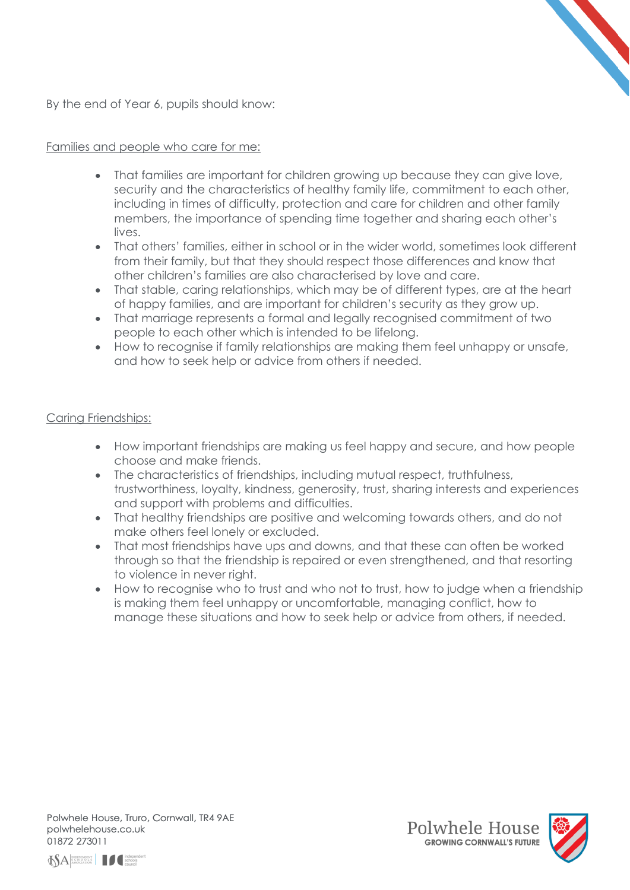By the end of Year 6, pupils should know:

#### Families and people who care for me:

- That families are important for children growing up because they can give love, security and the characteristics of healthy family life, commitment to each other, including in times of difficulty, protection and care for children and other family members, the importance of spending time together and sharing each other's lives.
- That others' families, either in school or in the wider world, sometimes look different from their family, but that they should respect those differences and know that other children's families are also characterised by love and care.
- That stable, caring relationships, which may be of different types, are at the heart of happy families, and are important for children's security as they grow up.
- That marriage represents a formal and legally recognised commitment of two people to each other which is intended to be lifelong.
- How to recognise if family relationships are making them feel unhappy or unsafe, and how to seek help or advice from others if needed.

#### Caring Friendships:

- How important friendships are making us feel happy and secure, and how people choose and make friends.
- The characteristics of friendships, including mutual respect, truthfulness, trustworthiness, loyalty, kindness, generosity, trust, sharing interests and experiences and support with problems and difficulties.
- That healthy friendships are positive and welcoming towards others, and do not make others feel lonely or excluded.
- That most friendships have ups and downs, and that these can often be worked through so that the friendship is repaired or even strengthened, and that resorting to violence in never right.
- How to recognise who to trust and who not to trust, how to judge when a friendship is making them feel unhappy or uncomfortable, managing conflict, how to manage these situations and how to seek help or advice from others, if needed.





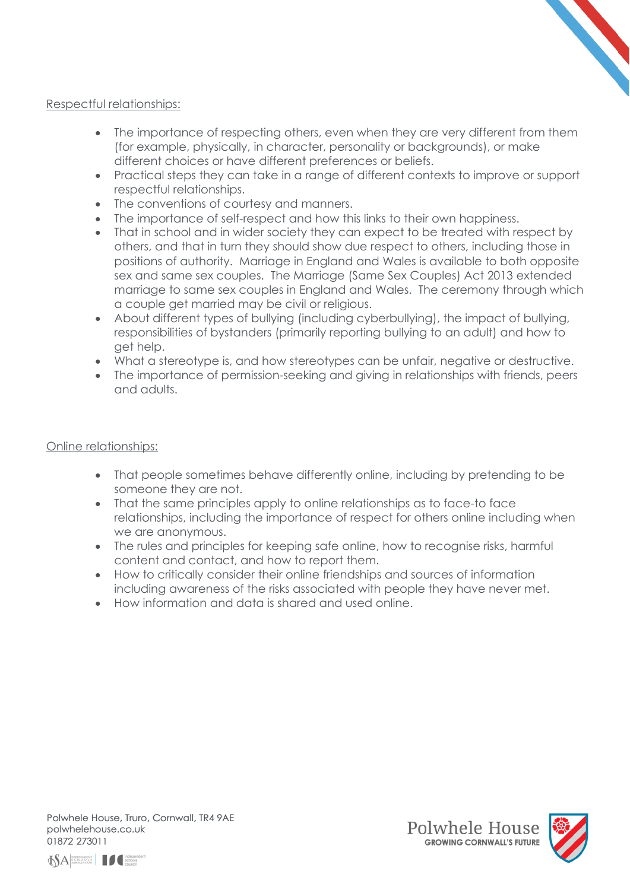

#### Respectful relationships:

- The importance of respecting others, even when they are very different from them (for example, physically, in character, personality or backgrounds), or make different choices or have different preferences or beliefs.
- Practical steps they can take in a range of different contexts to improve or support respectful relationships.
- The conventions of courtesy and manners.
- The importance of self-respect and how this links to their own happiness.
- That in school and in wider society they can expect to be treated with respect by others, and that in turn they should show due respect to others, including those in positions of authority. Marriage in England and Wales is available to both opposite sex and same sex couples. The Marriage (Same Sex Couples) Act 2013 extended marriage to same sex couples in England and Wales. The ceremony through which a couple get married may be civil or religious.
- About different types of bullying (including cyberbullying), the impact of bullying, responsibilities of bystanders (primarily reporting bullying to an adult) and how to get help.
- What a stereotype is, and how stereotypes can be unfair, negative or destructive.
- The importance of permission-seeking and giving in relationships with friends, peers and adults.

#### Online relationships:

- That people sometimes behave differently online, including by pretending to be someone they are not.
- That the same principles apply to online relationships as to face-to face relationships, including the importance of respect for others online including when we are anonymous.
- The rules and principles for keeping safe online, how to recognise risks, harmful content and contact, and how to report them.
- How to critically consider their online friendships and sources of information including awareness of the risks associated with people they have never met.
- How information and data is shared and used online.





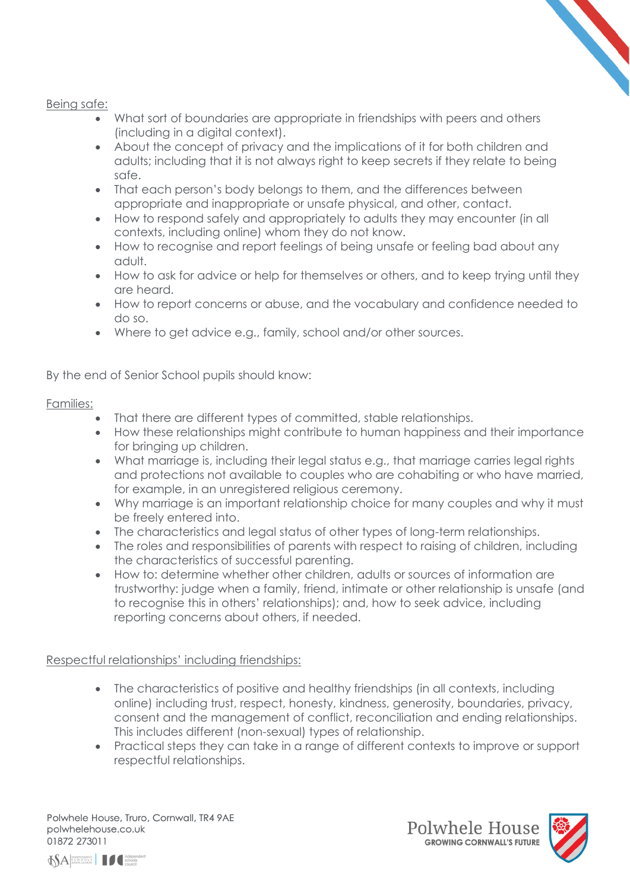Being safe:

- What sort of boundaries are appropriate in friendships with peers and others (including in a digital context).
- About the concept of privacy and the implications of it for both children and adults; including that it is not always right to keep secrets if they relate to being safe.
- That each person's body belongs to them, and the differences between appropriate and inappropriate or unsafe physical, and other, contact.
- How to respond safely and appropriately to adults they may encounter (in all contexts, including online) whom they do not know.
- How to recognise and report feelings of being unsafe or feeling bad about any adult.
- How to ask for advice or help for themselves or others, and to keep trying until they are heard.
- How to report concerns or abuse, and the vocabulary and confidence needed to do so.
- Where to get advice e.g., family, school and/or other sources.

By the end of Senior School pupils should know:

#### Families:

- That there are different types of committed, stable relationships.
- How these relationships might contribute to human happiness and their importance for bringing up children.
- What marriage is, including their legal status e.g., that marriage carries legal rights and protections not available to couples who are cohabiting or who have married, for example, in an unregistered religious ceremony.
- Why marriage is an important relationship choice for many couples and why it must be freely entered into.
- The characteristics and legal status of other types of long-term relationships.
- The roles and responsibilities of parents with respect to raising of children, including the characteristics of successful parenting.
- How to: determine whether other children, adults or sources of information are trustworthy: judge when a family, friend, intimate or other relationship is unsafe (and to recognise this in others' relationships); and, how to seek advice, including reporting concerns about others, if needed.

#### Respectful relationships' including friendships:

- The characteristics of positive and healthy friendships (in all contexts, including online) including trust, respect, honesty, kindness, generosity, boundaries, privacy, consent and the management of conflict, reconciliation and ending relationships. This includes different (non-sexual) types of relationship.
- Practical steps they can take in a range of different contexts to improve or support respectful relationships.

Polwhele House, Truro, Cornwall, TR4 9AE polwhelehouse.co.uk 01872 273011





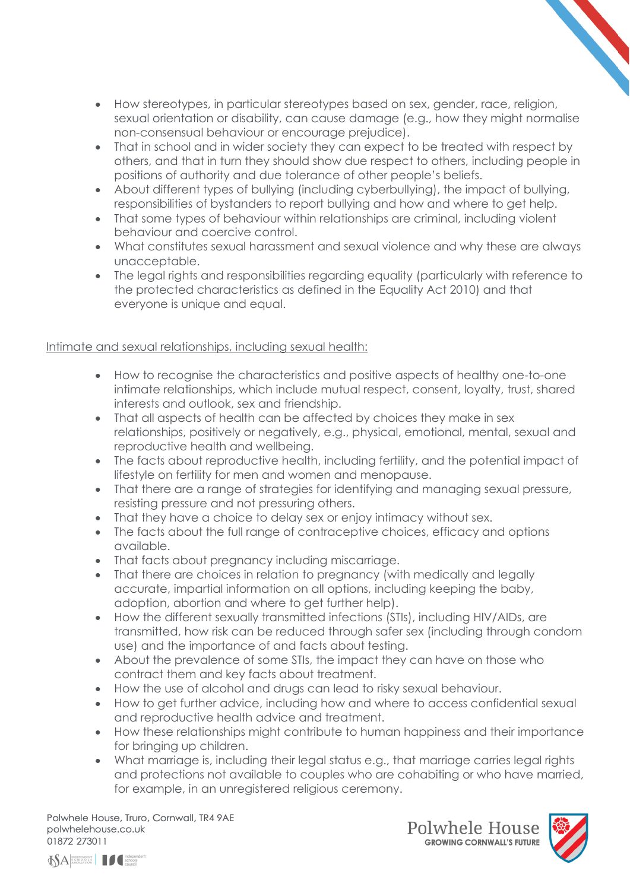- How stereotypes, in particular stereotypes based on sex, gender, race, religion, sexual orientation or disability, can cause damage (e.g., how they might normalise non-consensual behaviour or encourage prejudice).
- That in school and in wider society they can expect to be treated with respect by others, and that in turn they should show due respect to others, including people in positions of authority and due tolerance of other people's beliefs.
- About different types of bullying (including cyberbullying), the impact of bullying, responsibilities of bystanders to report bullying and how and where to get help.
- That some types of behaviour within relationships are criminal, including violent behaviour and coercive control.
- What constitutes sexual harassment and sexual violence and why these are always unacceptable.
- The legal rights and responsibilities regarding equality (particularly with reference to the protected characteristics as defined in the Equality Act 2010) and that everyone is unique and equal.

#### Intimate and sexual relationships, including sexual health:

- How to recognise the characteristics and positive aspects of healthy one-to-one intimate relationships, which include mutual respect, consent, loyalty, trust, shared interests and outlook, sex and friendship.
- That all aspects of health can be affected by choices they make in sex relationships, positively or negatively, e.g., physical, emotional, mental, sexual and reproductive health and wellbeing.
- The facts about reproductive health, including fertility, and the potential impact of lifestyle on fertility for men and women and menopause.
- That there are a range of strategies for identifying and managing sexual pressure, resisting pressure and not pressuring others.
- That they have a choice to delay sex or enjoy intimacy without sex.
- The facts about the full range of contraceptive choices, efficacy and options available.
- That facts about pregnancy including miscarriage.
- That there are choices in relation to preanancy (with medically and legally accurate, impartial information on all options, including keeping the baby, adoption, abortion and where to get further help).
- How the different sexually transmitted infections (STIs), including HIV/AIDs, are transmitted, how risk can be reduced through safer sex (including through condom use) and the importance of and facts about testing.
- About the prevalence of some STIs, the impact they can have on those who contract them and key facts about treatment.
- How the use of alcohol and drugs can lead to risky sexual behaviour.
- How to get further advice, including how and where to access confidential sexual and reproductive health advice and treatment.
- How these relationships might contribute to human happiness and their importance for bringing up children.
- What marriage is, including their legal status e.g., that marriage carries legal rights and protections not available to couples who are cohabiting or who have married, for example, in an unregistered religious ceremony.





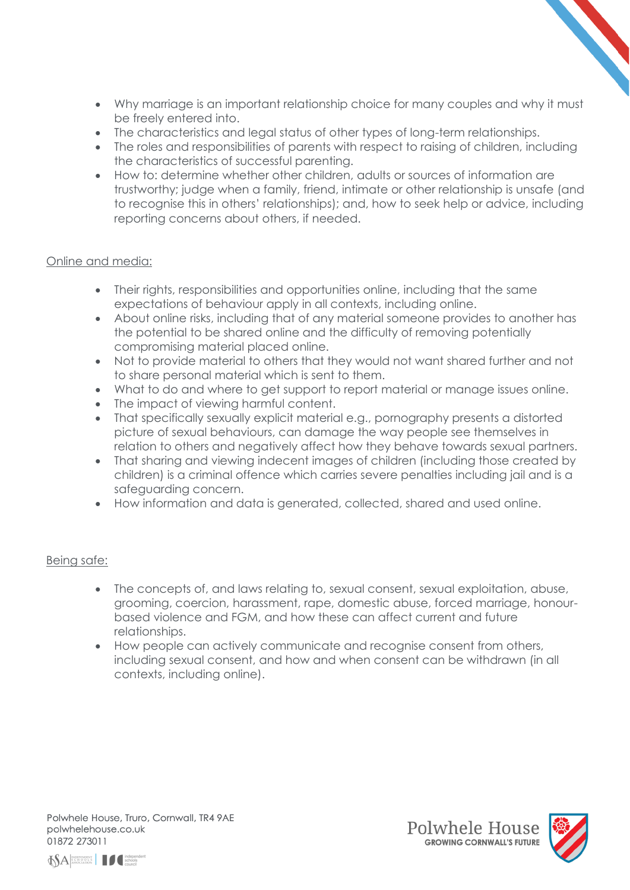- Why marriage is an important relationship choice for many couples and why it must be freely entered into.
- The characteristics and legal status of other types of long-term relationships.
- The roles and responsibilities of parents with respect to raising of children, including the characteristics of successful parenting.
- How to: determine whether other children, adults or sources of information are trustworthy; judge when a family, friend, intimate or other relationship is unsafe (and to recognise this in others' relationships); and, how to seek help or advice, including reporting concerns about others, if needed.

#### Online and media:

- Their rights, responsibilities and opportunities online, including that the same expectations of behaviour apply in all contexts, including online.
- About online risks, including that of any material someone provides to another has the potential to be shared online and the difficulty of removing potentially compromising material placed online.
- Not to provide material to others that they would not want shared further and not to share personal material which is sent to them.
- What to do and where to get support to report material or manage issues online.
- The impact of viewing harmful content.
- That specifically sexually explicit material e.g., pornography presents a distorted picture of sexual behaviours, can damage the way people see themselves in relation to others and negatively affect how they behave towards sexual partners.
- That sharing and viewing indecent images of children (including those created by children) is a criminal offence which carries severe penalties including jail and is a safeguarding concern.
- How information and data is generated, collected, shared and used online.

#### Being safe:

- The concepts of, and laws relating to, sexual consent, sexual exploitation, abuse, grooming, coercion, harassment, rape, domestic abuse, forced marriage, honourbased violence and FGM, and how these can affect current and future relationships.
- How people can actively communicate and recognise consent from others, including sexual consent, and how and when consent can be withdrawn (in all contexts, including online).



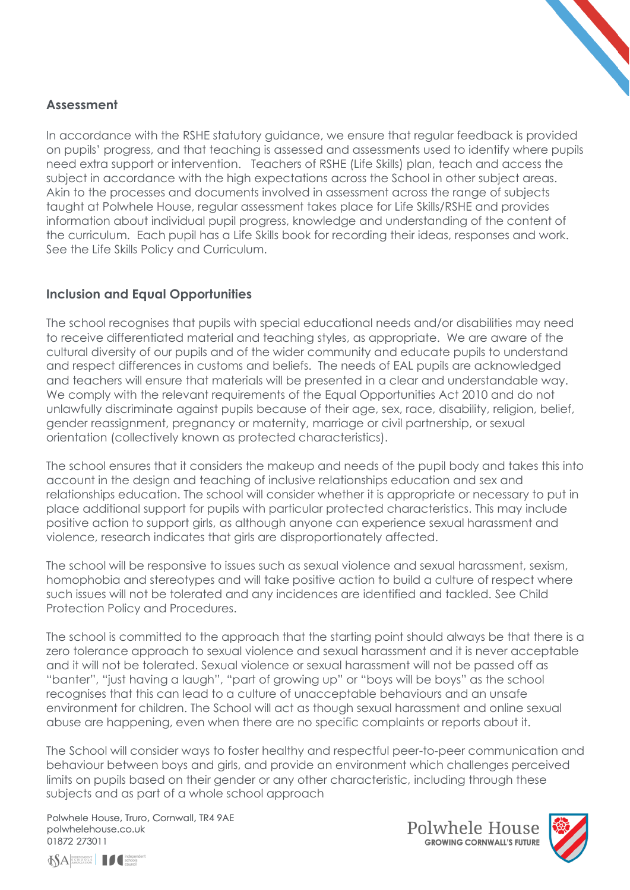

#### **Assessment**

In accordance with the RSHE statutory guidance, we ensure that regular feedback is provided on pupils' progress, and that teaching is assessed and assessments used to identify where pupils need extra support or intervention. Teachers of RSHE (Life Skills) plan, teach and access the subject in accordance with the high expectations across the School in other subject areas. Akin to the processes and documents involved in assessment across the range of subjects taught at Polwhele House, regular assessment takes place for Life Skills/RSHE and provides information about individual pupil progress, knowledge and understanding of the content of the curriculum. Each pupil has a Life Skills book for recording their ideas, responses and work. See the Life Skills Policy and Curriculum.

#### **Inclusion and Equal Opportunities**

The school recognises that pupils with special educational needs and/or disabilities may need to receive differentiated material and teaching styles, as appropriate. We are aware of the cultural diversity of our pupils and of the wider community and educate pupils to understand and respect differences in customs and beliefs. The needs of EAL pupils are acknowledged and teachers will ensure that materials will be presented in a clear and understandable way. We comply with the relevant requirements of the Equal Opportunities Act 2010 and do not unlawfully discriminate against pupils because of their age, sex, race, disability, religion, belief, gender reassignment, pregnancy or maternity, marriage or civil partnership, or sexual orientation (collectively known as protected characteristics).

The school ensures that it considers the makeup and needs of the pupil body and takes this into account in the design and teaching of inclusive relationships education and sex and relationships education. The school will consider whether it is appropriate or necessary to put in place additional support for pupils with particular protected characteristics. This may include positive action to support girls, as although anyone can experience sexual harassment and violence, research indicates that girls are disproportionately affected.

The school will be responsive to issues such as sexual violence and sexual harassment, sexism, homophobia and stereotypes and will take positive action to build a culture of respect where such issues will not be tolerated and any incidences are identified and tackled. See Child Protection Policy and Procedures.

The school is committed to the approach that the starting point should always be that there is a zero tolerance approach to sexual violence and sexual harassment and it is never acceptable and it will not be tolerated. Sexual violence or sexual harassment will not be passed off as "banter", "just having a laugh", "part of growing up" or "boys will be boys" as the school recognises that this can lead to a culture of unacceptable behaviours and an unsafe environment for children. The School will act as though sexual harassment and online sexual abuse are happening, even when there are no specific complaints or reports about it.

The School will consider ways to foster healthy and respectful peer-to-peer communication and behaviour between boys and girls, and provide an environment which challenges perceived limits on pupils based on their gender or any other characteristic, including through these subjects and as part of a whole school approach





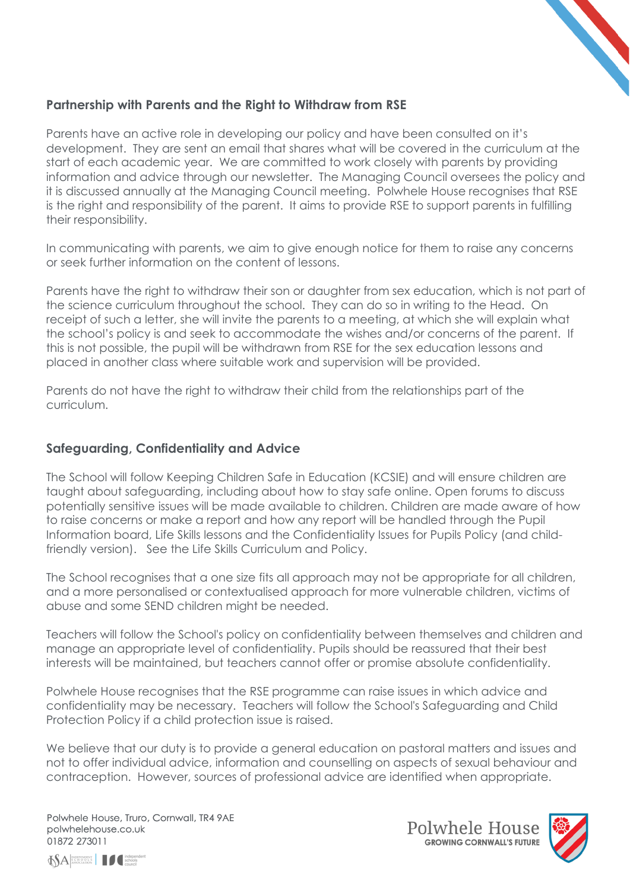

#### **Partnership with Parents and the Right to Withdraw from RSE**

Parents have an active role in developing our policy and have been consulted on it's development. They are sent an email that shares what will be covered in the curriculum at the start of each academic year. We are committed to work closely with parents by providing information and advice through our newsletter. The Managing Council oversees the policy and it is discussed annually at the Managing Council meeting. Polwhele House recognises that RSE is the right and responsibility of the parent. It aims to provide RSE to support parents in fulfilling their responsibility.

In communicating with parents, we aim to give enough notice for them to raise any concerns or seek further information on the content of lessons.

Parents have the right to withdraw their son or daughter from sex education, which is not part of the science curriculum throughout the school. They can do so in writing to the Head. On receipt of such a letter, she will invite the parents to a meeting, at which she will explain what the school's policy is and seek to accommodate the wishes and/or concerns of the parent. If this is not possible, the pupil will be withdrawn from RSE for the sex education lessons and placed in another class where suitable work and supervision will be provided.

Parents do not have the right to withdraw their child from the relationships part of the curriculum.

#### **Safeguarding, Confidentiality and Advice**

The School will follow Keeping Children Safe in Education (KCSIE) and will ensure children are taught about safeguarding, including about how to stay safe online. Open forums to discuss potentially sensitive issues will be made available to children. Children are made aware of how to raise concerns or make a report and how any report will be handled through the Pupil Information board, Life Skills lessons and the Confidentiality Issues for Pupils Policy (and childfriendly version). See the Life Skills Curriculum and Policy.

The School recognises that a one size fits all approach may not be appropriate for all children, and a more personalised or contextualised approach for more vulnerable children, victims of abuse and some SEND children might be needed.

Teachers will follow the School's policy on confidentiality between themselves and children and manage an appropriate level of confidentiality. Pupils should be reassured that their best interests will be maintained, but teachers cannot offer or promise absolute confidentiality.

Polwhele House recognises that the RSE programme can raise issues in which advice and confidentiality may be necessary. Teachers will follow the School's Safeguarding and Child Protection Policy if a child protection issue is raised.

We believe that our duty is to provide a general education on pastoral matters and issues and not to offer individual advice, information and counselling on aspects of sexual behaviour and contraception. However, sources of professional advice are identified when appropriate.





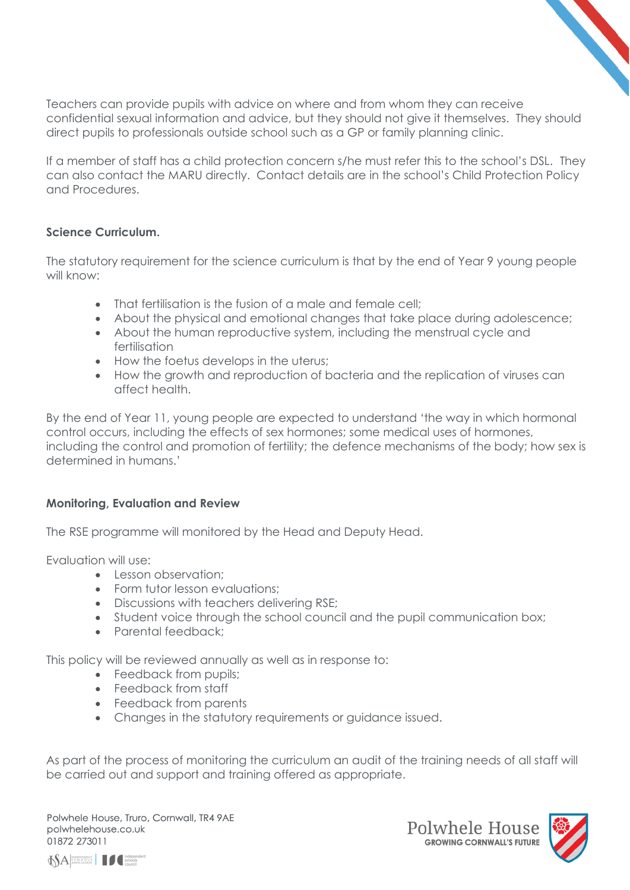

If a member of staff has a child protection concern s/he must refer this to the school's DSL. They can also contact the MARU directly. Contact details are in the school's Child Protection Policy and Procedures.

#### **Science Curriculum.**

The statutory requirement for the science curriculum is that by the end of Year 9 young people will know:

- That fertilisation is the fusion of a male and female cell;
- About the physical and emotional changes that take place during adolescence;
- About the human reproductive system, including the menstrual cycle and fertilisation
- How the foetus develops in the uterus;
- How the growth and reproduction of bacteria and the replication of viruses can affect health.

By the end of Year 11, young people are expected to understand 'the way in which hormonal control occurs, including the effects of sex hormones; some medical uses of hormones, including the control and promotion of fertility; the defence mechanisms of the body; how sex is determined in humans.'

#### **Monitoring, Evaluation and Review**

The RSE programme will monitored by the Head and Deputy Head.

Evaluation will use:

- Lesson observation:
- Form tutor lesson evaluations:
- Discussions with teachers delivering RSE;
- Student voice through the school council and the pupil communication box;
- Parental feedback:

This policy will be reviewed annually as well as in response to:

- Feedback from pupils:
- Feedback from staff
- Feedback from parents
- Changes in the statutory requirements or quidance issued.

As part of the process of monitoring the curriculum an audit of the training needs of all staff will be carried out and support and training offered as appropriate.